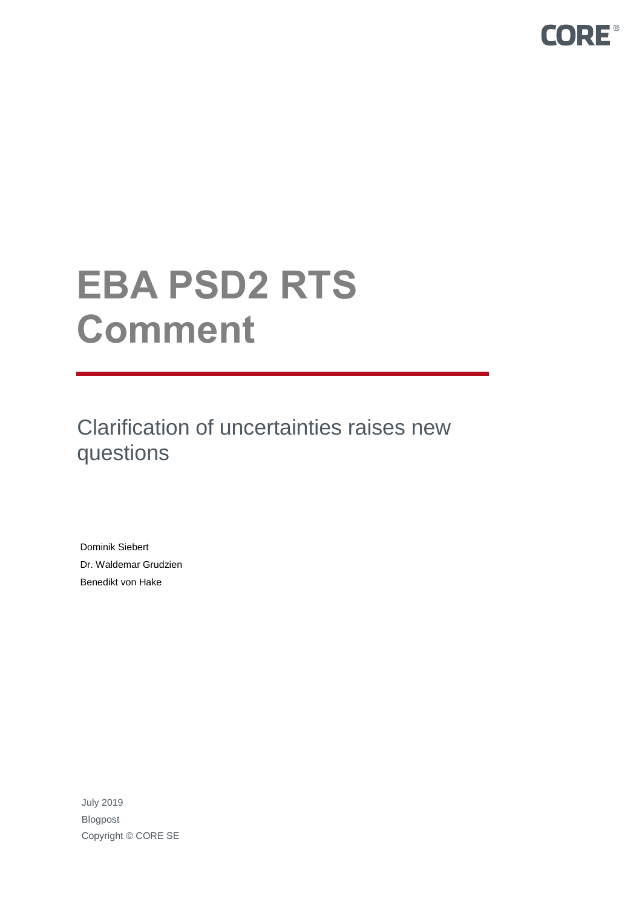

# **EBA PSD2 RTS Comment**

Clarification of uncertainties raises new questions

Dominik Siebert Dr. Waldemar Grudzien Benedikt von Hake

July 2019 Blogpost Copyright © CORE SE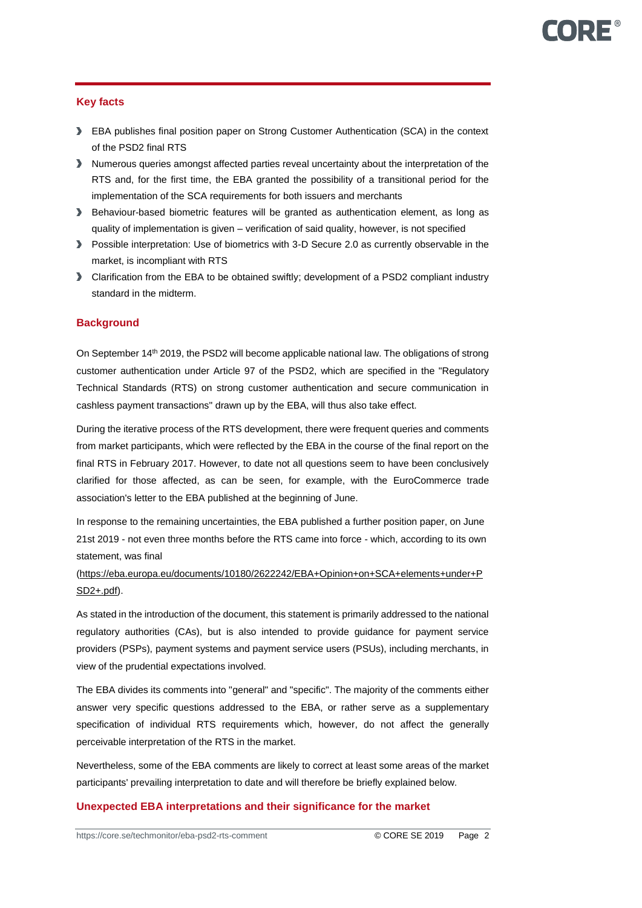# **Key facts**

- EBA publishes final position paper on Strong Customer Authentication (SCA) in the context of the PSD2 final RTS
- Numerous queries amongst affected parties reveal uncertainty about the interpretation of the RTS and, for the first time, the EBA granted the possibility of a transitional period for the implementation of the SCA requirements for both issuers and merchants
- Behaviour-based biometric features will be granted as authentication element, as long as quality of implementation is given – verification of said quality, however, is not specified
- Possible interpretation: Use of biometrics with 3-D Secure 2.0 as currently observable in the market, is incompliant with RTS
- Clarification from the EBA to be obtained swiftly; development of a PSD2 compliant industry standard in the midterm.

# **Background**

On September 14<sup>th</sup> 2019, the PSD2 will become applicable national law. The obligations of strong customer authentication under Article 97 of the PSD2, which are specified in the "Regulatory Technical Standards (RTS) on strong customer authentication and secure communication in cashless payment transactions" drawn up by the EBA, will thus also take effect.

During the iterative process of the RTS development, there were frequent queries and comments from market participants, which were reflected by the EBA in the course of the final report on the final RTS in February 2017. However, to date not all questions seem to have been conclusively clarified for those affected, as can be seen, for example, with the EuroCommerce trade association's letter to the EBA published at the beginning of June.

In response to the remaining uncertainties, the EBA published a further position paper, on June 21st 2019 - not even three months before the RTS came into force - which, according to its own statement, was final

# [\(https://eba.europa.eu/documents/10180/2622242/EBA+Opinion+on+SCA+elements+under+P](https://eba.europa.eu/documents/10180/2622242/EBA+Opinion+on+SCA+elements+under+PSD2+.pdf) [SD2+.pdf\)](https://eba.europa.eu/documents/10180/2622242/EBA+Opinion+on+SCA+elements+under+PSD2+.pdf).

As stated in the introduction of the document, this statement is primarily addressed to the national regulatory authorities (CAs), but is also intended to provide guidance for payment service providers (PSPs), payment systems and payment service users (PSUs), including merchants, in view of the prudential expectations involved.

The EBA divides its comments into "general" and "specific". The majority of the comments either answer very specific questions addressed to the EBA, or rather serve as a supplementary specification of individual RTS requirements which, however, do not affect the generally perceivable interpretation of the RTS in the market.

Nevertheless, some of the EBA comments are likely to correct at least some areas of the market participants' prevailing interpretation to date and will therefore be briefly explained below.

# **Unexpected EBA interpretations and their significance for the market**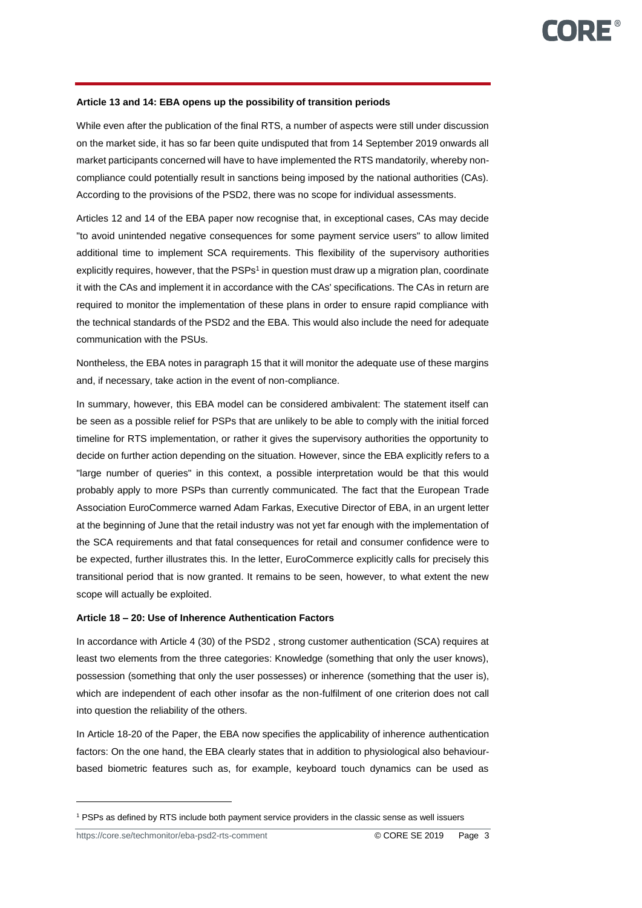#### **Article 13 and 14: EBA opens up the possibility of transition periods**

While even after the publication of the final RTS, a number of aspects were still under discussion on the market side, it has so far been quite undisputed that from 14 September 2019 onwards all market participants concerned will have to have implemented the RTS mandatorily, whereby noncompliance could potentially result in sanctions being imposed by the national authorities (CAs). According to the provisions of the PSD2, there was no scope for individual assessments.

Articles 12 and 14 of the EBA paper now recognise that, in exceptional cases, CAs may decide "to avoid unintended negative consequences for some payment service users" to allow limited additional time to implement SCA requirements. This flexibility of the supervisory authorities explicitly requires, however, that the PSPs<sup>1</sup> in question must draw up a migration plan, coordinate it with the CAs and implement it in accordance with the CAs' specifications. The CAs in return are required to monitor the implementation of these plans in order to ensure rapid compliance with the technical standards of the PSD2 and the EBA. This would also include the need for adequate communication with the PSUs.

Nontheless, the EBA notes in paragraph 15 that it will monitor the adequate use of these margins and, if necessary, take action in the event of non-compliance.

In summary, however, this EBA model can be considered ambivalent: The statement itself can be seen as a possible relief for PSPs that are unlikely to be able to comply with the initial forced timeline for RTS implementation, or rather it gives the supervisory authorities the opportunity to decide on further action depending on the situation. However, since the EBA explicitly refers to a "large number of queries" in this context, a possible interpretation would be that this would probably apply to more PSPs than currently communicated. The fact that the European Trade Association EuroCommerce warned Adam Farkas, Executive Director of EBA, in an urgent letter at the beginning of June that the retail industry was not yet far enough with the implementation of the SCA requirements and that fatal consequences for retail and consumer confidence were to be expected, further illustrates this. In the letter, EuroCommerce explicitly calls for precisely this transitional period that is now granted. It remains to be seen, however, to what extent the new scope will actually be exploited.

#### **Article 18 – 20: Use of Inherence Authentication Factors**

In accordance with Article 4 (30) of the PSD2 , strong customer authentication (SCA) requires at least two elements from the three categories: Knowledge (something that only the user knows), possession (something that only the user possesses) or inherence (something that the user is), which are independent of each other insofar as the non-fulfilment of one criterion does not call into question the reliability of the others.

In Article 18-20 of the Paper, the EBA now specifies the applicability of inherence authentication factors: On the one hand, the EBA clearly states that in addition to physiological also behaviourbased biometric features such as, for example, keyboard touch dynamics can be used as

 $\overline{a}$ 

<sup>1</sup> PSPs as defined by RTS include both payment service providers in the classic sense as well issuers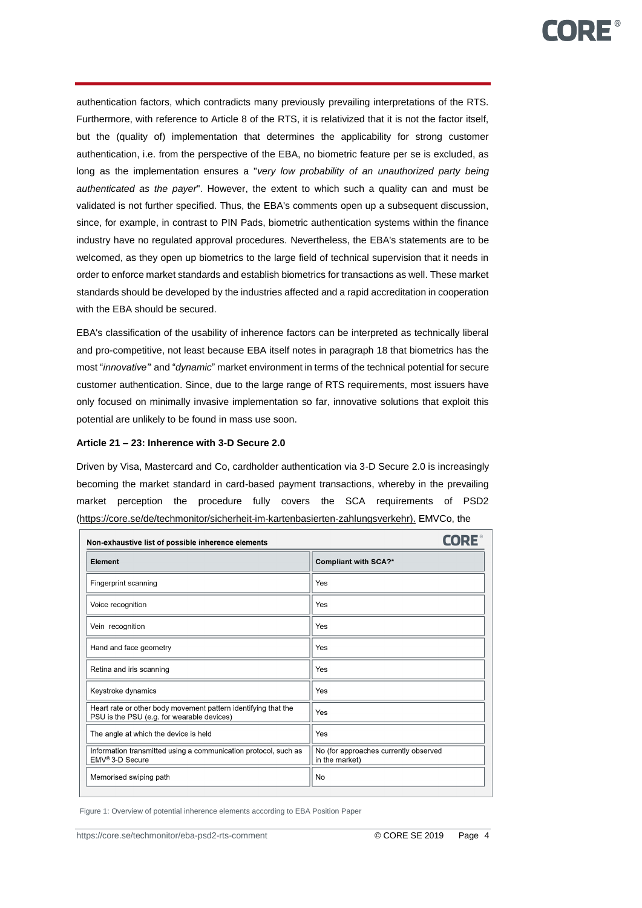authentication factors, which contradicts many previously prevailing interpretations of the RTS. Furthermore, with reference to Article 8 of the RTS, it is relativized that it is not the factor itself, but the (quality of) implementation that determines the applicability for strong customer authentication, i.e. from the perspective of the EBA, no biometric feature per se is excluded, as long as the implementation ensures a "*very low probability of an unauthorized party being authenticated as the payer*". However, the extent to which such a quality can and must be validated is not further specified. Thus, the EBA's comments open up a subsequent discussion, since, for example, in contrast to PIN Pads, biometric authentication systems within the finance industry have no regulated approval procedures. Nevertheless, the EBA's statements are to be welcomed, as they open up biometrics to the large field of technical supervision that it needs in order to enforce market standards and establish biometrics for transactions as well. These market standards should be developed by the industries affected and a rapid accreditation in cooperation with the EBA should be secured.

EBA's classification of the usability of inherence factors can be interpreted as technically liberal and pro-competitive, not least because EBA itself notes in paragraph 18 that biometrics has the most "*innovative"*' and "*dynamic*" market environment in terms of the technical potential for secure customer authentication. Since, due to the large range of RTS requirements, most issuers have only focused on minimally invasive implementation so far, innovative solutions that exploit this potential are unlikely to be found in mass use soon.

#### **Article 21 – 23: Inherence with 3-D Secure 2.0**

Driven by Visa, Mastercard and Co, cardholder authentication via 3-D Secure 2.0 is increasingly becoming the market standard in card-based payment transactions, whereby in the prevailing market perception the procedure fully covers the SCA requirements of PSD2 [\(https://core.se/de/techmonitor/sicherheit-im-kartenbasierten-zahlungsverkehr\).](https://core.se/de/techmonitor/sicherheit-im-kartenbasierten-zahlungsverkehr).) EMVCo, the

| Non-exhaustive list of possible inherence elements                                                           | <b>CORE</b>                                             |
|--------------------------------------------------------------------------------------------------------------|---------------------------------------------------------|
| Element                                                                                                      | <b>Compliant with SCA?*</b>                             |
| Fingerprint scanning                                                                                         | Yes                                                     |
| Voice recognition                                                                                            | Yes                                                     |
| Vein recognition                                                                                             | Yes                                                     |
| Hand and face geometry                                                                                       | Yes                                                     |
| Retina and iris scanning                                                                                     | Yes                                                     |
| Keystroke dynamics                                                                                           | Yes                                                     |
| Heart rate or other body movement pattern identifying that the<br>PSU is the PSU (e.g. for wearable devices) | Yes                                                     |
| The angle at which the device is held                                                                        | Yes                                                     |
| Information transmitted using a communication protocol, such as<br>EMV <sup>®</sup> 3-D Secure               | No (for approaches currently observed<br>in the market) |
| Memorised swiping path                                                                                       | <b>No</b>                                               |

Figure 1: Overview of potential inherence elements according to EBA Position Paper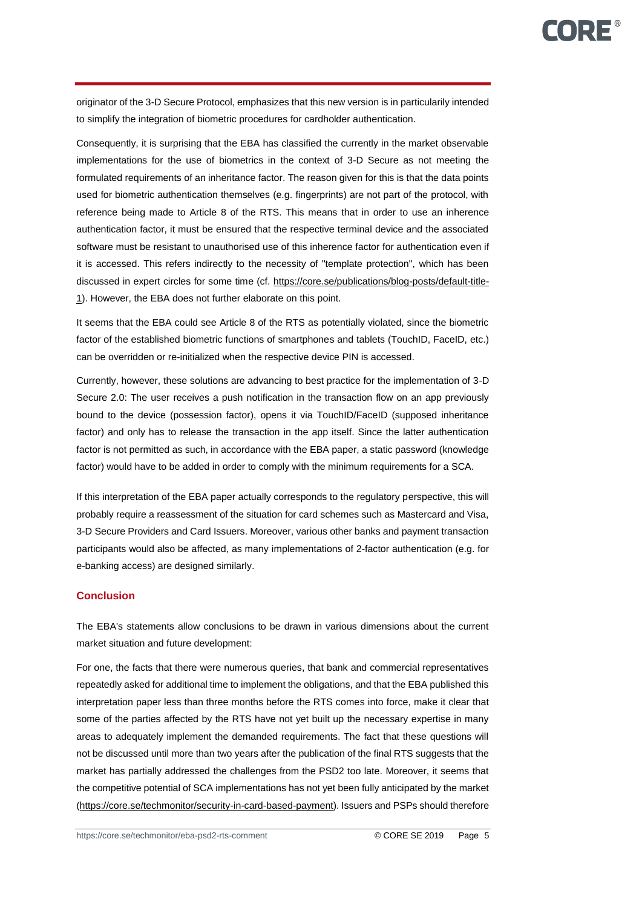originator of the 3-D Secure Protocol, emphasizes that this new version is in particularily intended to simplify the integration of biometric procedures for cardholder authentication.

Consequently, it is surprising that the EBA has classified the currently in the market observable implementations for the use of biometrics in the context of 3-D Secure as not meeting the formulated requirements of an inheritance factor. The reason given for this is that the data points used for biometric authentication themselves (e.g. fingerprints) are not part of the protocol, with reference being made to Article 8 of the RTS. This means that in order to use an inherence authentication factor, it must be ensured that the respective terminal device and the associated software must be resistant to unauthorised use of this inherence factor for authentication even if it is accessed. This refers indirectly to the necessity of "template protection", which has been discussed in expert circles for some time (cf. [https://core.se/publications/blog-posts/default-title-](https://core.se/publications/blog-posts/default-title-1)[1\)](https://core.se/publications/blog-posts/default-title-1). However, the EBA does not further elaborate on this point.

It seems that the EBA could see Article 8 of the RTS as potentially violated, since the biometric factor of the established biometric functions of smartphones and tablets (TouchID, FaceID, etc.) can be overridden or re-initialized when the respective device PIN is accessed.

Currently, however, these solutions are advancing to best practice for the implementation of 3-D Secure 2.0: The user receives a push notification in the transaction flow on an app previously bound to the device (possession factor), opens it via TouchID/FaceID (supposed inheritance factor) and only has to release the transaction in the app itself. Since the latter authentication factor is not permitted as such, in accordance with the EBA paper, a static password (knowledge factor) would have to be added in order to comply with the minimum requirements for a SCA.

If this interpretation of the EBA paper actually corresponds to the regulatory perspective, this will probably require a reassessment of the situation for card schemes such as Mastercard and Visa, 3-D Secure Providers and Card Issuers. Moreover, various other banks and payment transaction participants would also be affected, as many implementations of 2-factor authentication (e.g. for e-banking access) are designed similarly.

# **Conclusion**

The EBA's statements allow conclusions to be drawn in various dimensions about the current market situation and future development:

For one, the facts that there were numerous queries, that bank and commercial representatives repeatedly asked for additional time to implement the obligations, and that the EBA published this interpretation paper less than three months before the RTS comes into force, make it clear that some of the parties affected by the RTS have not yet built up the necessary expertise in many areas to adequately implement the demanded requirements. The fact that these questions will not be discussed until more than two years after the publication of the final RTS suggests that the market has partially addressed the challenges from the PSD2 too late. Moreover, it seems that the competitive potential of SCA implementations has not yet been fully anticipated by the market [\(https://core.se/techmonitor/security-in-card-based-payment\)](https://core.se/techmonitor/security-in-card-based-payment). Issuers and PSPs should therefore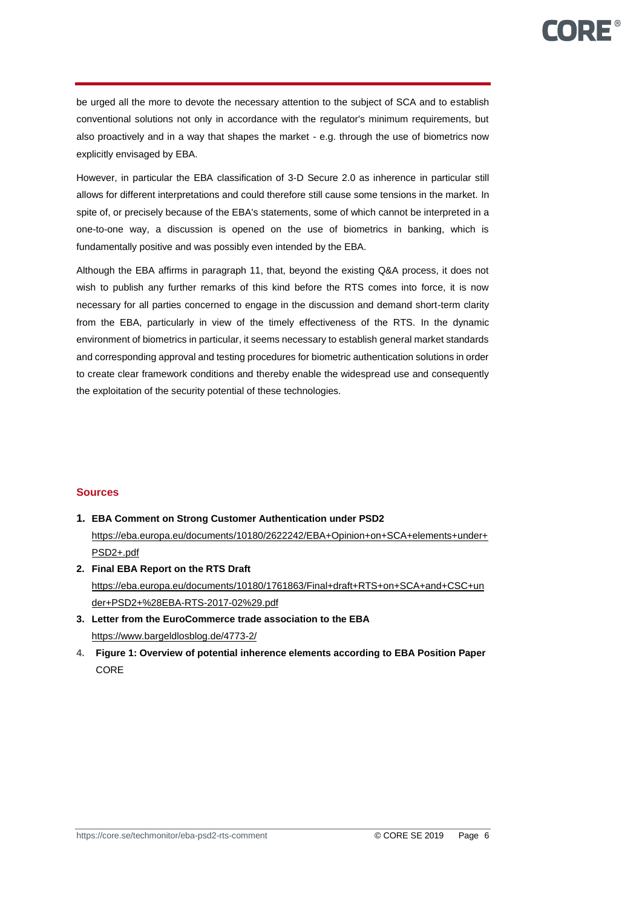be urged all the more to devote the necessary attention to the subject of SCA and to establish conventional solutions not only in accordance with the regulator's minimum requirements, but also proactively and in a way that shapes the market - e.g. through the use of biometrics now explicitly envisaged by EBA.

However, in particular the EBA classification of 3-D Secure 2.0 as inherence in particular still allows for different interpretations and could therefore still cause some tensions in the market. In spite of, or precisely because of the EBA's statements, some of which cannot be interpreted in a one-to-one way, a discussion is opened on the use of biometrics in banking, which is fundamentally positive and was possibly even intended by the EBA.

Although the EBA affirms in paragraph 11, that, beyond the existing Q&A process, it does not wish to publish any further remarks of this kind before the RTS comes into force, it is now necessary for all parties concerned to engage in the discussion and demand short-term clarity from the EBA, particularly in view of the timely effectiveness of the RTS. In the dynamic environment of biometrics in particular, it seems necessary to establish general market standards and corresponding approval and testing procedures for biometric authentication solutions in order to create clear framework conditions and thereby enable the widespread use and consequently the exploitation of the security potential of these technologies.

# **Sources**

- **1. EBA Comment on Strong Customer Authentication under PSD2** [https://eba.europa.eu/documents/10180/2622242/EBA+Opinion+on+SCA+elements+under+](https://eba.europa.eu/documents/10180/2622242/EBA+Opinion+on+SCA+elements+under+PSD2+.pdf) [PSD2+.pdf](https://eba.europa.eu/documents/10180/2622242/EBA+Opinion+on+SCA+elements+under+PSD2+.pdf)
- **2. Final EBA Report on the RTS Draft** https://eba.europa.eu/documents/10180/1761863/Final+draft+RTS+on+SCA+and+CSC+un der+PSD2+%28EBA-RTS-2017-02%29.pdf
- **3. Letter from the EuroCommerce trade association to the EBA**  <https://www.bargeldlosblog.de/4773-2/>
- **4. Figure 1: Overview of potential inherence elements according to EBA Position Paper** CORE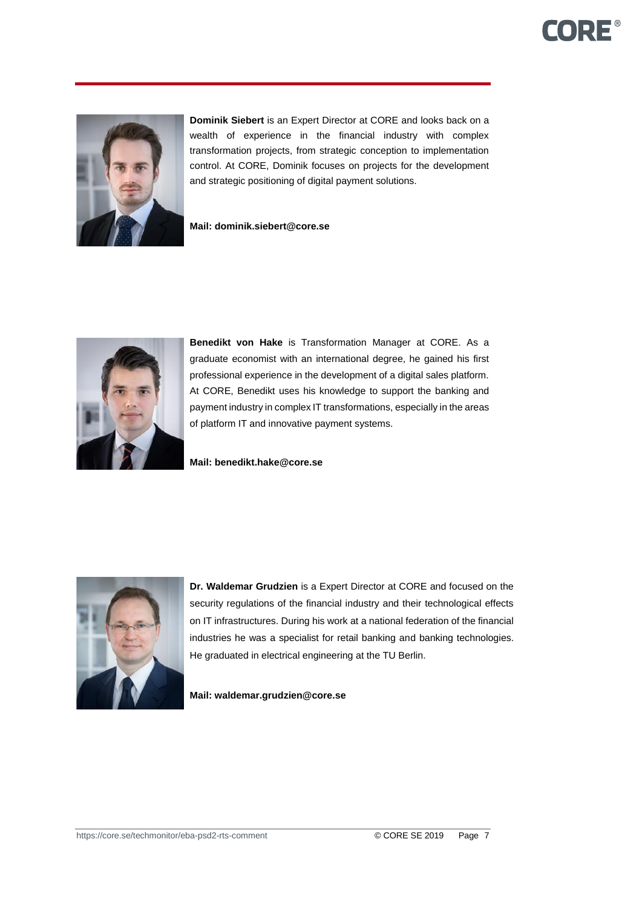# **CORE®**



**Dominik Siebert** is an Expert Director at CORE and looks back on a wealth of experience in the financial industry with complex transformation projects, from strategic conception to implementation control. At CORE, Dominik focuses on projects for the development and strategic positioning of digital payment solutions.

**Mail: dominik.siebert@core.se**



**Benedikt von Hake** is Transformation Manager at CORE. As a graduate economist with an international degree, he gained his first professional experience in the development of a digital sales platform. At CORE, Benedikt uses his knowledge to support the banking and payment industry in complex IT transformations, especially in the areas of platform IT and innovative payment systems.

**Mail: benedikt.hake@core.se**



**Dr. Waldemar Grudzien** is a Expert Director at CORE and focused on the security regulations of the financial industry and their technological effects on IT infrastructures. During his work at a national federation of the financial industries he was a specialist for retail banking and banking technologies. He graduated in electrical engineering at the TU Berlin.

**Mail: waldemar.grudzien@core.se**